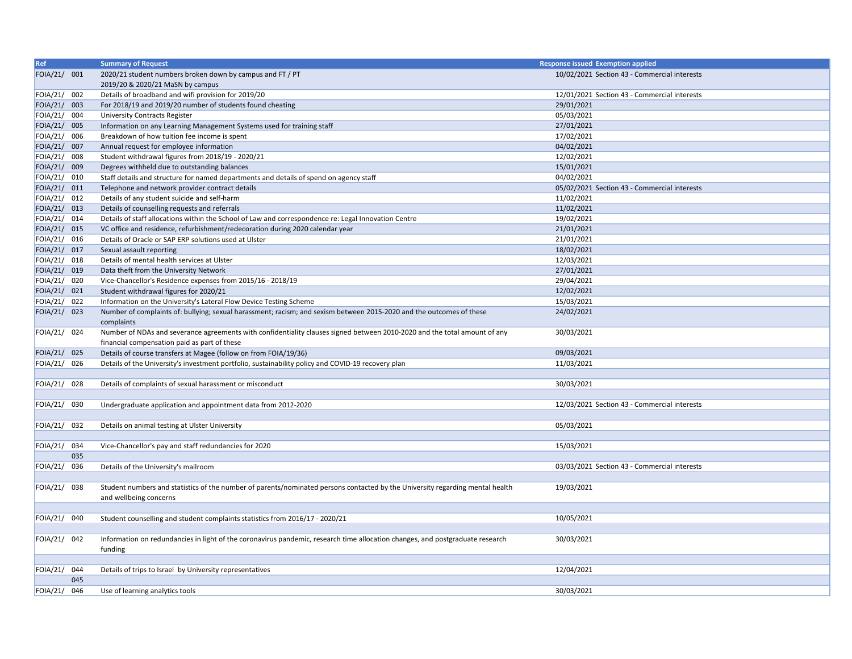| Ref          | <b>Summary of Request</b>                                                                                                                                                 | <b>Response issued Exemption applied</b>     |
|--------------|---------------------------------------------------------------------------------------------------------------------------------------------------------------------------|----------------------------------------------|
| FOIA/21/ 001 | 2020/21 student numbers broken down by campus and FT / PT<br>2019/20 & 2020/21 MaSN by campus                                                                             | 10/02/2021 Section 43 - Commercial interests |
| FOIA/21/ 002 | Details of broadband and wifi provision for 2019/20                                                                                                                       | 12/01/2021 Section 43 - Commercial interests |
| FOIA/21/ 003 | For 2018/19 and 2019/20 number of students found cheating                                                                                                                 | 29/01/2021                                   |
| FOIA/21/ 004 | <b>University Contracts Register</b>                                                                                                                                      | 05/03/2021                                   |
| FOIA/21/ 005 | Information on any Learning Management Systems used for training staff                                                                                                    | 27/01/2021                                   |
| FOIA/21/ 006 | Breakdown of how tuition fee income is spent                                                                                                                              | 17/02/2021                                   |
| FOIA/21/ 007 | Annual request for employee information                                                                                                                                   | 04/02/2021                                   |
| FOIA/21/ 008 | Student withdrawal figures from 2018/19 - 2020/21                                                                                                                         | 12/02/2021                                   |
| FOIA/21/ 009 | Degrees withheld due to outstanding balances                                                                                                                              | 15/01/2021                                   |
| FOIA/21/ 010 | Staff details and structure for named departments and details of spend on agency staff                                                                                    | 04/02/2021                                   |
| FOIA/21/ 011 | Telephone and network provider contract details                                                                                                                           | 05/02/2021 Section 43 - Commercial interests |
| FOIA/21/ 012 | Details of any student suicide and self-harm                                                                                                                              | 11/02/2021                                   |
| FOIA/21/ 013 | Details of counselling requests and referrals                                                                                                                             | 11/02/2021                                   |
| FOIA/21/ 014 | Details of staff allocations within the School of Law and correspondence re: Legal Innovation Centre                                                                      | 19/02/2021                                   |
| FOIA/21/ 015 | VC office and residence, refurbishment/redecoration during 2020 calendar year                                                                                             | 21/01/2021                                   |
| FOIA/21/ 016 | Details of Oracle or SAP ERP solutions used at Ulster                                                                                                                     | 21/01/2021                                   |
| FOIA/21/ 017 | Sexual assault reporting                                                                                                                                                  | 18/02/2021                                   |
| FOIA/21/ 018 | Details of mental health services at Ulster                                                                                                                               | 12/03/2021                                   |
| FOIA/21/ 019 | Data theft from the University Network                                                                                                                                    | 27/01/2021                                   |
| FOIA/21/ 020 | Vice-Chancellor's Residence expenses from 2015/16 - 2018/19                                                                                                               | 29/04/2021                                   |
| FOIA/21/ 021 | Student withdrawal figures for 2020/21                                                                                                                                    | 12/02/2021                                   |
| FOIA/21/ 022 | Information on the University's Lateral Flow Device Testing Scheme                                                                                                        | 15/03/2021                                   |
| FOIA/21/ 023 | Number of complaints of: bullying; sexual harassment; racism; and sexism between 2015-2020 and the outcomes of these                                                      | 24/02/2021                                   |
|              | complaints                                                                                                                                                                |                                              |
| FOIA/21/ 024 | Number of NDAs and severance agreements with confidentiality clauses signed between 2010-2020 and the total amount of any<br>financial compensation paid as part of these | 30/03/2021                                   |
| FOIA/21/ 025 | Details of course transfers at Magee (follow on from FOIA/19/36)                                                                                                          | 09/03/2021                                   |
| FOIA/21/ 026 | Details of the University's investment portfolio, sustainability policy and COVID-19 recovery plan                                                                        | 11/03/2021                                   |
|              |                                                                                                                                                                           |                                              |
| FOIA/21/ 028 | Details of complaints of sexual harassment or misconduct                                                                                                                  | 30/03/2021                                   |
|              |                                                                                                                                                                           |                                              |
| FOIA/21/ 030 | Undergraduate application and appointment data from 2012-2020                                                                                                             | 12/03/2021 Section 43 - Commercial interests |
|              |                                                                                                                                                                           |                                              |
| FOIA/21/ 032 | Details on animal testing at Ulster University                                                                                                                            | 05/03/2021                                   |
|              |                                                                                                                                                                           |                                              |
| FOIA/21/ 034 | Vice-Chancellor's pay and staff redundancies for 2020                                                                                                                     | 15/03/2021                                   |
| 035          |                                                                                                                                                                           |                                              |
| FOIA/21/ 036 | Details of the University's mailroom                                                                                                                                      | 03/03/2021 Section 43 - Commercial interests |
|              |                                                                                                                                                                           |                                              |
| FOIA/21/ 038 | Student numbers and statistics of the number of parents/nominated persons contacted by the University regarding mental health<br>and wellbeing concerns                   | 19/03/2021                                   |
|              |                                                                                                                                                                           |                                              |
| FOIA/21/ 040 | Student counselling and student complaints statistics from 2016/17 - 2020/21                                                                                              | 10/05/2021                                   |
|              |                                                                                                                                                                           |                                              |
| FOIA/21/ 042 | Information on redundancies in light of the coronavirus pandemic, research time allocation changes, and postgraduate research<br>funding                                  | 30/03/2021                                   |
|              |                                                                                                                                                                           |                                              |
| FOIA/21/ 044 | Details of trips to Israel by University representatives                                                                                                                  | 12/04/2021                                   |
| 045          |                                                                                                                                                                           |                                              |
| FOIA/21/ 046 | Use of learning analytics tools                                                                                                                                           | 30/03/2021                                   |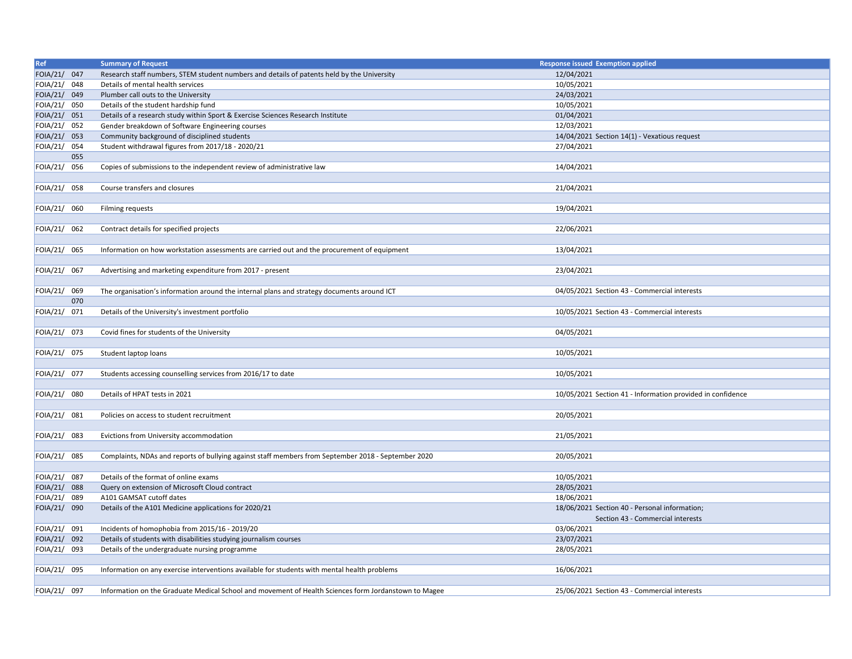| Ref          | <b>Summary of Request</b>                                                                            | <b>Response issued Exemption applied</b>                   |
|--------------|------------------------------------------------------------------------------------------------------|------------------------------------------------------------|
| FOIA/21/ 047 | Research staff numbers, STEM student numbers and details of patents held by the University           | 12/04/2021                                                 |
| FOIA/21/ 048 | Details of mental health services                                                                    | 10/05/2021                                                 |
| FOIA/21/ 049 | Plumber call outs to the University                                                                  | 24/03/2021                                                 |
| FOIA/21/ 050 | Details of the student hardship fund                                                                 | 10/05/2021                                                 |
| FOIA/21/ 051 | Details of a research study within Sport & Exercise Sciences Research Institute                      | 01/04/2021                                                 |
| FOIA/21/ 052 | Gender breakdown of Software Engineering courses                                                     | 12/03/2021                                                 |
| FOIA/21/ 053 | Community background of disciplined students                                                         | 14/04/2021 Section 14(1) - Vexatious request               |
| FOIA/21/ 054 | Student withdrawal figures from 2017/18 - 2020/21                                                    | 27/04/2021                                                 |
| 055          |                                                                                                      |                                                            |
| FOIA/21/ 056 | Copies of submissions to the independent review of administrative law                                | 14/04/2021                                                 |
|              |                                                                                                      |                                                            |
| FOIA/21/ 058 | Course transfers and closures                                                                        | 21/04/2021                                                 |
|              |                                                                                                      |                                                            |
| FOIA/21/ 060 | <b>Filming requests</b>                                                                              | 19/04/2021                                                 |
|              |                                                                                                      |                                                            |
| FOIA/21/ 062 | Contract details for specified projects                                                              | 22/06/2021                                                 |
|              |                                                                                                      |                                                            |
| FOIA/21/ 065 | Information on how workstation assessments are carried out and the procurement of equipment          | 13/04/2021                                                 |
|              |                                                                                                      |                                                            |
| FOIA/21/ 067 | Advertising and marketing expenditure from 2017 - present                                            | 23/04/2021                                                 |
|              |                                                                                                      |                                                            |
| FOIA/21/ 069 | The organisation's information around the internal plans and strategy documents around ICT           | 04/05/2021 Section 43 - Commercial interests               |
| 070          |                                                                                                      |                                                            |
| FOIA/21/ 071 | Details of the University's investment portfolio                                                     | 10/05/2021 Section 43 - Commercial interests               |
|              |                                                                                                      |                                                            |
| FOIA/21/ 073 | Covid fines for students of the University                                                           | 04/05/2021                                                 |
|              |                                                                                                      |                                                            |
| FOIA/21/ 075 | Student laptop loans                                                                                 | 10/05/2021                                                 |
|              |                                                                                                      |                                                            |
| FOIA/21/ 077 | Students accessing counselling services from 2016/17 to date                                         | 10/05/2021                                                 |
|              |                                                                                                      |                                                            |
| FOIA/21/ 080 | Details of HPAT tests in 2021                                                                        | 10/05/2021 Section 41 - Information provided in confidence |
|              |                                                                                                      |                                                            |
| FOIA/21/ 081 | Policies on access to student recruitment                                                            | 20/05/2021                                                 |
|              |                                                                                                      |                                                            |
| FOIA/21/ 083 | Evictions from University accommodation                                                              | 21/05/2021                                                 |
|              |                                                                                                      |                                                            |
| FOIA/21/ 085 | Complaints, NDAs and reports of bullying against staff members from September 2018 - September 2020  | 20/05/2021                                                 |
|              |                                                                                                      |                                                            |
| FOIA/21/ 087 | Details of the format of online exams                                                                | 10/05/2021                                                 |
| FOIA/21/ 088 | Query on extension of Microsoft Cloud contract                                                       | 28/05/2021                                                 |
| FOIA/21/ 089 | A101 GAMSAT cutoff dates                                                                             | 18/06/2021                                                 |
| FOIA/21/ 090 | Details of the A101 Medicine applications for 2020/21                                                | 18/06/2021 Section 40 - Personal information;              |
|              |                                                                                                      | Section 43 - Commercial interests                          |
| FOIA/21/ 091 | Incidents of homophobia from 2015/16 - 2019/20                                                       | 03/06/2021                                                 |
| FOIA/21/ 092 | Details of students with disabilities studying journalism courses                                    | 23/07/2021                                                 |
| FOIA/21/ 093 | Details of the undergraduate nursing programme                                                       | 28/05/2021                                                 |
|              |                                                                                                      |                                                            |
| FOIA/21/ 095 | Information on any exercise interventions available for students with mental health problems         | 16/06/2021                                                 |
|              |                                                                                                      |                                                            |
| FOIA/21/ 097 | Information on the Graduate Medical School and movement of Health Sciences form Jordanstown to Magee | 25/06/2021 Section 43 - Commercial interests               |
|              |                                                                                                      |                                                            |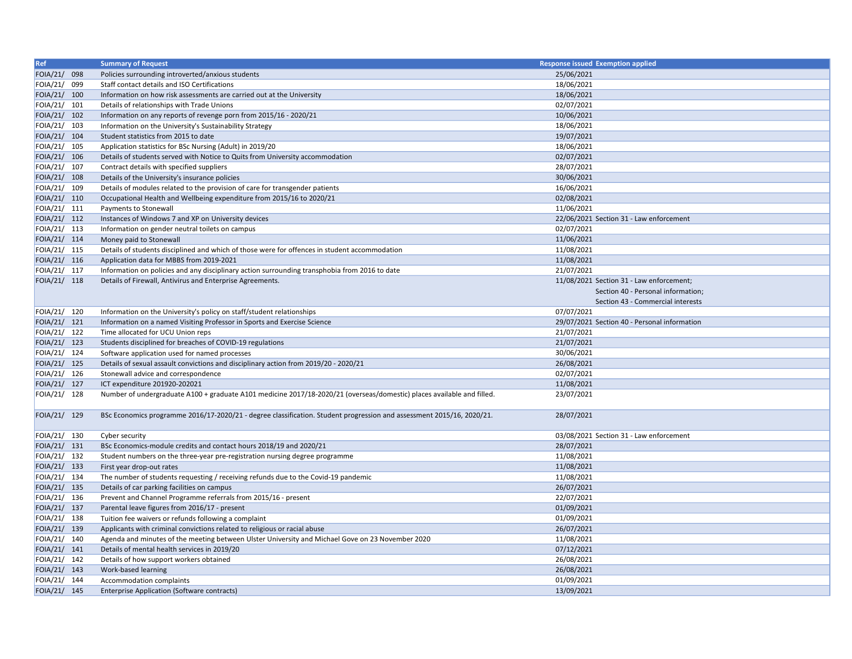| Ref          | <b>Summary of Request</b>                                                                                                             | <b>Response issued Exemption applied</b>     |  |
|--------------|---------------------------------------------------------------------------------------------------------------------------------------|----------------------------------------------|--|
| FOIA/21/ 098 | Policies surrounding introverted/anxious students                                                                                     | 25/06/2021                                   |  |
| FOIA/21/ 099 | Staff contact details and ISO Certifications                                                                                          | 18/06/2021                                   |  |
| FOIA/21/ 100 | Information on how risk assessments are carried out at the University                                                                 | 18/06/2021                                   |  |
| FOIA/21/ 101 | Details of relationships with Trade Unions                                                                                            | 02/07/2021                                   |  |
| FOIA/21/ 102 | Information on any reports of revenge porn from 2015/16 - 2020/21                                                                     | 10/06/2021                                   |  |
| FOIA/21/ 103 | Information on the University's Sustainability Strategy                                                                               | 18/06/2021                                   |  |
| FOIA/21/ 104 | Student statistics from 2015 to date                                                                                                  | 19/07/2021                                   |  |
| FOIA/21/ 105 | Application statistics for BSc Nursing (Adult) in 2019/20                                                                             | 18/06/2021                                   |  |
| FOIA/21/ 106 | Details of students served with Notice to Quits from University accommodation                                                         | 02/07/2021                                   |  |
| FOIA/21/ 107 | Contract details with specified suppliers                                                                                             | 28/07/2021                                   |  |
| FOIA/21/ 108 | Details of the University's insurance policies                                                                                        | 30/06/2021                                   |  |
| FOIA/21/ 109 | Details of modules related to the provision of care for transgender patients                                                          | 16/06/2021                                   |  |
| FOIA/21/ 110 | Occupational Health and Wellbeing expenditure from 2015/16 to 2020/21                                                                 | 02/08/2021                                   |  |
| FOIA/21/ 111 | Payments to Stonewall                                                                                                                 | 11/06/2021                                   |  |
| FOIA/21/ 112 | Instances of Windows 7 and XP on University devices                                                                                   | 22/06/2021 Section 31 - Law enforcement      |  |
| FOIA/21/ 113 | Information on gender neutral toilets on campus                                                                                       | 02/07/2021                                   |  |
| FOIA/21/ 114 | Money paid to Stonewall                                                                                                               | 11/06/2021                                   |  |
| FOIA/21/ 115 | Details of students disciplined and which of those were for offences in student accommodation                                         | 11/08/2021                                   |  |
| FOIA/21/ 116 | Application data for MBBS from 2019-2021                                                                                              | 11/08/2021                                   |  |
| FOIA/21/ 117 | Information on policies and any disciplinary action surrounding transphobia from 2016 to date                                         | 21/07/2021                                   |  |
| FOIA/21/ 118 | Details of Firewall, Antivirus and Enterprise Agreements.                                                                             | 11/08/2021 Section 31 - Law enforcement;     |  |
|              |                                                                                                                                       | Section 40 - Personal information;           |  |
|              |                                                                                                                                       | Section 43 - Commercial interests            |  |
| FOIA/21/ 120 | Information on the University's policy on staff/student relationships                                                                 | 07/07/2021                                   |  |
| FOIA/21/ 121 | Information on a named Visiting Professor in Sports and Exercise Science                                                              | 29/07/2021 Section 40 - Personal information |  |
| FOIA/21/ 122 | Time allocated for UCU Union reps                                                                                                     | 21/07/2021                                   |  |
| FOIA/21/ 123 |                                                                                                                                       | 21/07/2021                                   |  |
| FOIA/21/ 124 | Students disciplined for breaches of COVID-19 regulations                                                                             | 30/06/2021                                   |  |
| FOIA/21/ 125 | Software application used for named processes<br>Details of sexual assault convictions and disciplinary action from 2019/20 - 2020/21 | 26/08/2021                                   |  |
| FOIA/21/ 126 |                                                                                                                                       | 02/07/2021                                   |  |
|              | Stonewall advice and correspondence                                                                                                   |                                              |  |
| FOIA/21/ 127 | ICT expenditure 201920-202021                                                                                                         | 11/08/2021                                   |  |
| FOIA/21/ 128 | Number of undergraduate A100 + graduate A101 medicine 2017/18-2020/21 (overseas/domestic) places available and filled.                | 23/07/2021                                   |  |
|              |                                                                                                                                       |                                              |  |
| FOIA/21/ 129 | BSc Economics programme 2016/17-2020/21 - degree classification. Student progression and assessment 2015/16, 2020/21.                 | 28/07/2021                                   |  |
|              |                                                                                                                                       |                                              |  |
| FOIA/21/ 130 | Cyber security                                                                                                                        | 03/08/2021 Section 31 - Law enforcement      |  |
| FOIA/21/ 131 | BSc Economics-module credits and contact hours 2018/19 and 2020/21                                                                    | 28/07/2021                                   |  |
| FOIA/21/ 132 | Student numbers on the three-year pre-registration nursing degree programme                                                           | 11/08/2021                                   |  |
| FOIA/21/ 133 | First year drop-out rates                                                                                                             | 11/08/2021                                   |  |
| FOIA/21/ 134 | The number of students requesting / receiving refunds due to the Covid-19 pandemic                                                    | 11/08/2021                                   |  |
| FOIA/21/ 135 | Details of car parking facilities on campus                                                                                           | 26/07/2021                                   |  |
| FOIA/21/ 136 | Prevent and Channel Programme referrals from 2015/16 - present                                                                        | 22/07/2021                                   |  |
| FOIA/21/ 137 | Parental leave figures from 2016/17 - present                                                                                         | 01/09/2021                                   |  |
| FOIA/21/ 138 | Tuition fee waivers or refunds following a complaint                                                                                  | 01/09/2021                                   |  |
| FOIA/21/ 139 | Applicants with criminal convictions related to religious or racial abuse                                                             | 26/07/2021                                   |  |
| FOIA/21/ 140 | Agenda and minutes of the meeting between Ulster University and Michael Gove on 23 November 2020                                      | 11/08/2021                                   |  |
| FOIA/21/ 141 | Details of mental health services in 2019/20                                                                                          | 07/12/2021                                   |  |
| FOIA/21/ 142 | Details of how support workers obtained                                                                                               | 26/08/2021                                   |  |
| FOIA/21/ 143 | Work-based learning                                                                                                                   | 26/08/2021                                   |  |
| FOIA/21/ 144 | Accommodation complaints                                                                                                              | 01/09/2021                                   |  |
| FOIA/21/ 145 | Enterprise Application (Software contracts)                                                                                           | 13/09/2021                                   |  |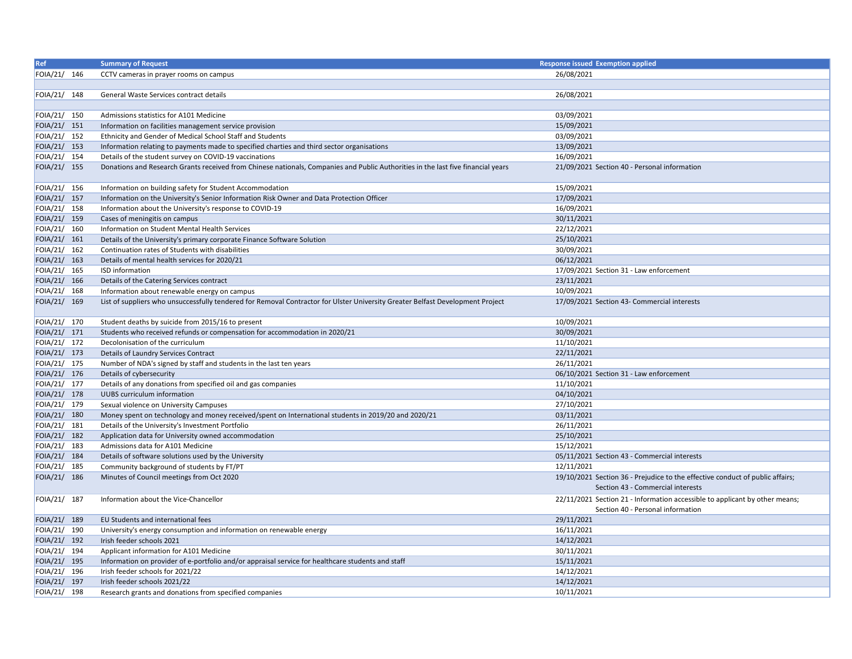| Ref          | <b>Summary of Request</b>                                                                                                        | <b>Response issued Exemption applied</b>                                                                           |
|--------------|----------------------------------------------------------------------------------------------------------------------------------|--------------------------------------------------------------------------------------------------------------------|
| FOIA/21/ 146 | CCTV cameras in prayer rooms on campus                                                                                           | 26/08/2021                                                                                                         |
|              |                                                                                                                                  |                                                                                                                    |
| FOIA/21/ 148 | General Waste Services contract details                                                                                          | 26/08/2021                                                                                                         |
|              |                                                                                                                                  |                                                                                                                    |
| FOIA/21/ 150 | Admissions statistics for A101 Medicine                                                                                          | 03/09/2021                                                                                                         |
| FOIA/21/ 151 | Information on facilities management service provision                                                                           | 15/09/2021                                                                                                         |
| FOIA/21/ 152 | Ethnicity and Gender of Medical School Staff and Students                                                                        | 03/09/2021                                                                                                         |
| FOIA/21/ 153 | Information relating to payments made to specified charties and third sector organisations                                       | 13/09/2021                                                                                                         |
| FOIA/21/ 154 | Details of the student survey on COVID-19 vaccinations                                                                           | 16/09/2021                                                                                                         |
| FOIA/21/ 155 | Donations and Research Grants received from Chinese nationals, Companies and Public Authorities in the last five financial years | 21/09/2021 Section 40 - Personal information                                                                       |
| FOIA/21/ 156 | Information on building safety for Student Accommodation                                                                         | 15/09/2021                                                                                                         |
| FOIA/21/ 157 | Information on the University's Senior Information Risk Owner and Data Protection Officer                                        | 17/09/2021                                                                                                         |
| FOIA/21/ 158 | Information about the University's response to COVID-19                                                                          | 16/09/2021                                                                                                         |
| FOIA/21/ 159 | Cases of meningitis on campus                                                                                                    | 30/11/2021                                                                                                         |
| FOIA/21/ 160 | Information on Student Mental Health Services                                                                                    | 22/12/2021                                                                                                         |
| FOIA/21/ 161 | Details of the University's primary corporate Finance Software Solution                                                          | 25/10/2021                                                                                                         |
| FOIA/21/ 162 | Continuation rates of Students with disabilities                                                                                 | 30/09/2021                                                                                                         |
| FOIA/21/ 163 | Details of mental health services for 2020/21                                                                                    | 06/12/2021                                                                                                         |
| FOIA/21/ 165 | ISD information                                                                                                                  | 17/09/2021 Section 31 - Law enforcement                                                                            |
| FOIA/21/ 166 | Details of the Catering Services contract                                                                                        | 23/11/2021                                                                                                         |
| FOIA/21/ 168 | Information about renewable energy on campus                                                                                     | 10/09/2021                                                                                                         |
| FOIA/21/ 169 | List of suppliers who unsuccessfully tendered for Removal Contractor for Ulster University Greater Belfast Development Project   | 17/09/2021 Section 43- Commercial interests                                                                        |
| FOIA/21/ 170 | Student deaths by suicide from 2015/16 to present                                                                                | 10/09/2021                                                                                                         |
| FOIA/21/ 171 | Students who received refunds or compensation for accommodation in 2020/21                                                       | 30/09/2021                                                                                                         |
| FOIA/21/ 172 | Decolonisation of the curriculum                                                                                                 | 11/10/2021                                                                                                         |
| FOIA/21/ 173 | Details of Laundry Services Contract                                                                                             | 22/11/2021                                                                                                         |
| FOIA/21/ 175 | Number of NDA's signed by staff and students in the last ten years                                                               | 26/11/2021                                                                                                         |
| FOIA/21/ 176 | Details of cybersecurity                                                                                                         | 06/10/2021 Section 31 - Law enforcement                                                                            |
| FOIA/21/ 177 | Details of any donations from specified oil and gas companies                                                                    | 11/10/2021                                                                                                         |
| FOIA/21/ 178 | UUBS curriculum information                                                                                                      | 04/10/2021                                                                                                         |
| FOIA/21/ 179 | Sexual violence on University Campuses                                                                                           | 27/10/2021                                                                                                         |
| FOIA/21/ 180 | Money spent on technology and money received/spent on International students in 2019/20 and 2020/21                              | 03/11/2021                                                                                                         |
| FOIA/21/ 181 | Details of the University's Investment Portfolio                                                                                 | 26/11/2021                                                                                                         |
| FOIA/21/ 182 | Application data for University owned accommodation                                                                              | 25/10/2021                                                                                                         |
| FOIA/21/ 183 | Admissions data for A101 Medicine                                                                                                | 15/12/2021                                                                                                         |
| FOIA/21/ 184 | Details of software solutions used by the University                                                                             | 05/11/2021 Section 43 - Commercial interests                                                                       |
| FOIA/21/ 185 | Community background of students by FT/PT                                                                                        | 12/11/2021                                                                                                         |
| FOIA/21/ 186 | Minutes of Council meetings from Oct 2020                                                                                        | 19/10/2021 Section 36 - Prejudice to the effective conduct of public affairs;<br>Section 43 - Commercial interests |
| FOIA/21/ 187 | Information about the Vice-Chancellor                                                                                            | 22/11/2021 Section 21 - Information accessible to applicant by other means;<br>Section 40 - Personal information   |
| FOIA/21/ 189 | EU Students and international fees                                                                                               | 29/11/2021                                                                                                         |
| FOIA/21/ 190 | University's energy consumption and information on renewable energy                                                              | 16/11/2021                                                                                                         |
| FOIA/21/ 192 | Irish feeder schools 2021                                                                                                        | 14/12/2021                                                                                                         |
| FOIA/21/ 194 | Applicant information for A101 Medicine                                                                                          | 30/11/2021                                                                                                         |
| FOIA/21/ 195 | Information on provider of e-portfolio and/or appraisal service for healthcare students and staff                                | 15/11/2021                                                                                                         |
| FOIA/21/ 196 | Irish feeder schools for 2021/22                                                                                                 | 14/12/2021                                                                                                         |
| FOIA/21/ 197 | Irish feeder schools 2021/22                                                                                                     | 14/12/2021                                                                                                         |
| FOIA/21/ 198 | Research grants and donations from specified companies                                                                           | 10/11/2021                                                                                                         |